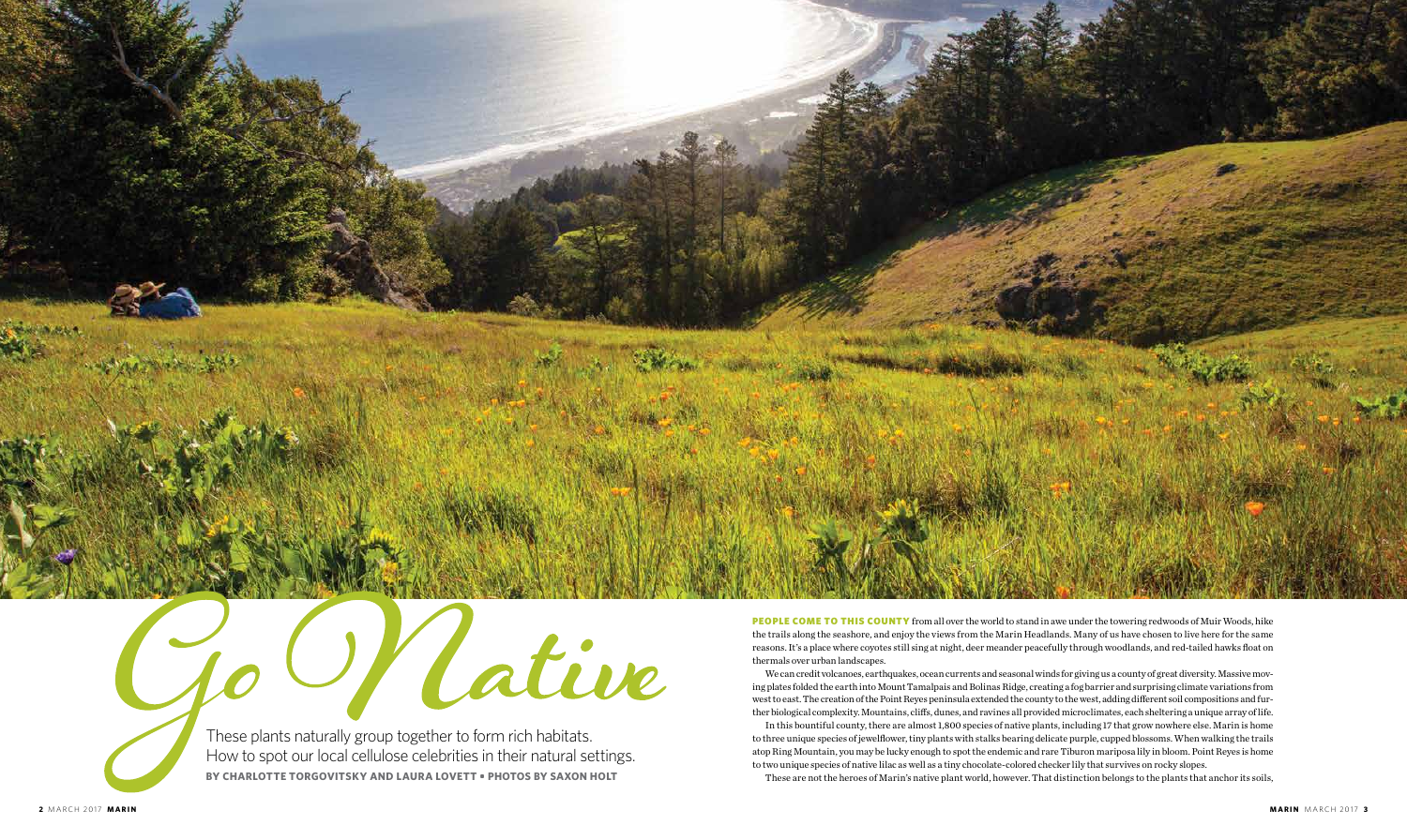PEOPLE COME TO THIS COUNTY from all over the world to stand in awe under the towering redwoods of Muir Woods, hike the trails along the seashore, and enjoy the views from the Marin Headlands. Many of us have chosen to live here for the same reasons. It's a place where coyotes still sing at night, deer meander peacefully through woodlands, and red-tailed hawks float on thermals over urban landscapes.



Cative These plants naturally group together to form rich habitats. How to spot our local cellulose celebrities in their natural settings.

We can credit volcanoes, earthquakes, ocean currents and seasonal winds for giving us a county of great diversity. Massive moving plates folded the earth into Mount Tamalpais and Bolinas Ridge, creating a fog barrier and surprising climate variations from west to east. The creation of the Point Reyes peninsula extended the county to the west, adding different soil compositions and further biological complexity. Mountains, cliffs, dunes, and ravines all provided microclimates, each sheltering a unique array of life. In this bountiful county, there are almost 1,800 species of native plants, including 17 that grow nowhere else. Marin is home to three unique species of jewelflower, tiny plants with stalks bearing delicate purple, cupped blossoms. When walking the trails atop Ring Mountain, you may be lucky enough to spot the endemic and rare Tiburon mariposa lily in bloom. Point Reyes is home to two unique species of native lilac as well as a tiny chocolate-colored checker lily that survives on rocky slopes.

These are not the heroes of Marin's native plant world, however. That distinction belongs to the plants that anchor its soils,

**BY CHARLOTTE TORGOVITSKY AND LAURA LOVETT • PHOTOS BY SAXON HOLT**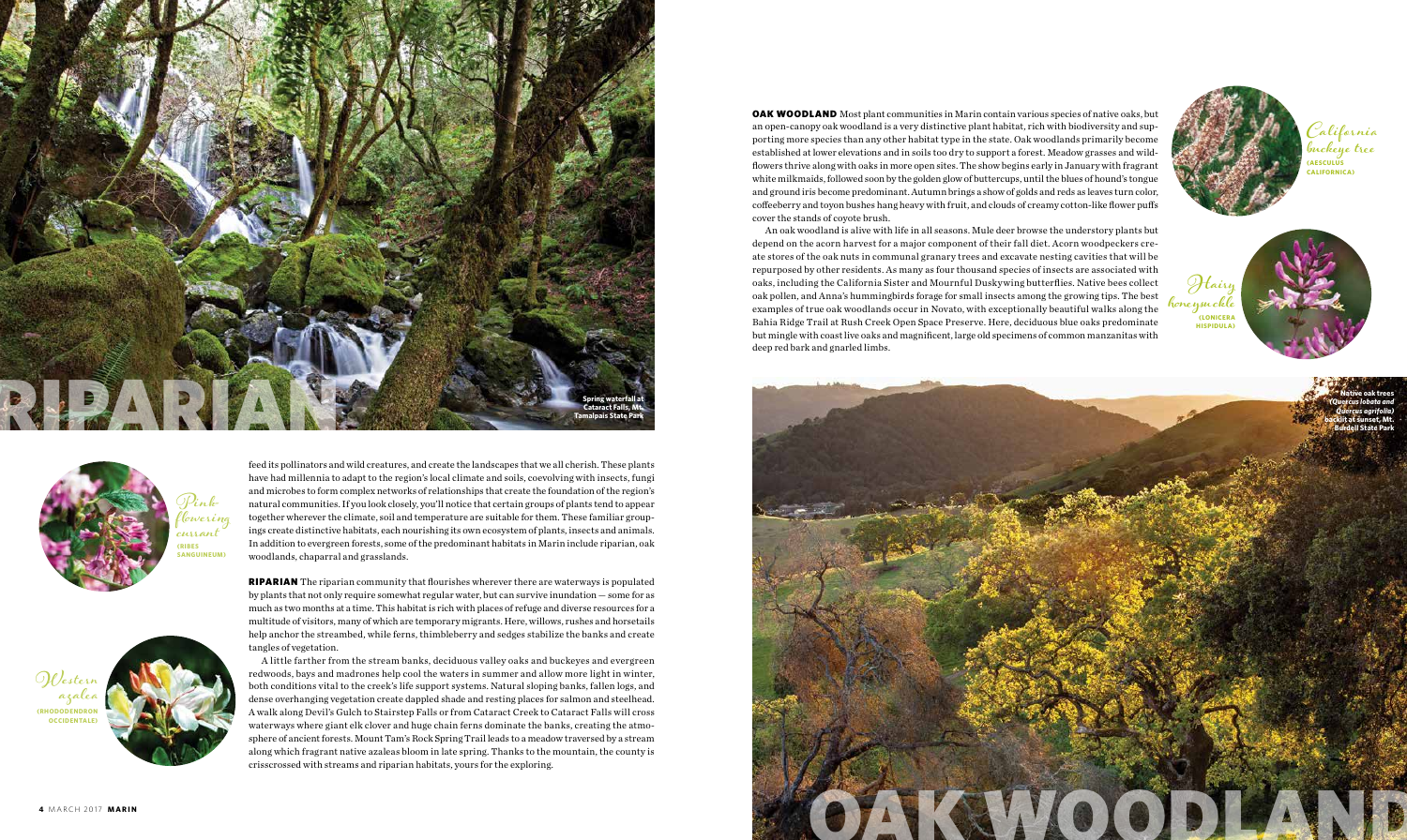**OAK WOODLAND** Most plant communities in Marin contain various species of native oaks, but an open-canopy oak woodland is a very distinctive plant habitat, rich with biodiversity and supporting more species than any other habitat type in the state. Oak woodlands primarily become established at lower elevations and in soils too dry to support a forest. Meadow grasses and wildflowers thrive along with oaks in more open sites. The show begins early in January with fragrant white milkmaids, followed soon by the golden glow of buttercups, until the blues of hound's tongue and ground iris become predominant. Autumn brings a show of golds and reds as leaves turn color, coffeeberry and toyon bushes hang heavy with fruit, and clouds of creamy cotton-like flower puffs cover the stands of coyote brush.

An oak woodland is alive with life in all seasons. Mule deer browse the understory plants but depend on the acorn harvest for a major component of their fall diet. Acorn woodpeckers create stores of the oak nuts in communal granary trees and excavate nesting cavities that will be repurposed by other residents. As many as four thousand species of insects are associated with oaks, including the California Sister and Mournful Duskywing butterflies. Native bees collect oak pollen, and Anna's hummingbirds forage for small insects among the growing tips. The best examples of true oak woodlands occur in Novato, with exceptionally beautiful walks along the Bahia Ridge Trail at Rush Creek Open Space Preserve. Here, deciduous blue oaks predominate but mingle with coast live oaks and magnificent, large old specimens of common manzanitas with deep red bark and gnarled limbs.







feed its pollinators and wild creatures, and create the landscapes that we all cherish. These plants have had millennia to adapt to the region's local climate and soils, coevolving with insects, fungi and microbes to form complex networks of relationships that create the foundation of the region's natural communities. If you look closely, you'll notice that certain groups of plants tend to appear together wherever the climate, soil and temperature are suitable for them. These familiar groupings create distinctive habitats, each nourishing its own ecosystem of plants, insects and animals. In addition to evergreen forests, some of the predominant habitats in Marin include riparian, oak woodlands, chaparral and grasslands.

RIPARIAN The riparian community that flourishes wherever there are waterways is populated by plants that not only require somewhat regular water, but can survive inundation — some for as much as two months at a time. This habitat is rich with places of refuge and diverse resources for a multitude of visitors, many of which are temporary migrants. Here, willows, rushes and horsetails help anchor the streambed, while ferns, thimbleberry and sedges stabilize the banks and create tangles of vegetation.

A little farther from the stream banks, deciduous valley oaks and buckeyes and evergreen redwoods, bays and madrones help cool the waters in summer and allow more light in winter, both conditions vital to the creek's life support systems. Natural sloping banks, fallen logs, and dense overhanging vegetation create dappled shade and resting places for salmon and steelhead. A walk along Devil's Gulch to Stairstep Falls or from Cataract Creek to Cataract Falls will cross waterways where giant elk clover and huge chain ferns dominate the banks, creating the atmosphere of ancient forests. Mount Tam's Rock Spring Trail leads to a meadow traversed by a stream along which fragrant native azaleas bloom in late spring. Thanks to the mountain, the county is crisscrossed with streams and riparian habitats, yours for the exploring.

**California buckeye tree (AESCULUS CALIFORNICA)**

**Pinkflowering currant (RIBES SANGUINEUM)**



**Hairy honeysuckle (LONICERA HISPIDULA)**